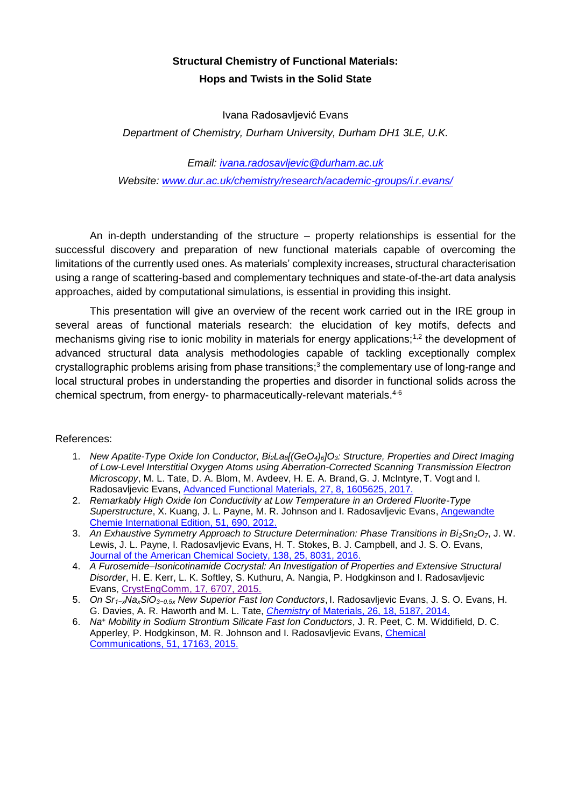## **Structural Chemistry of Functional Materials: Hops and Twists in the Solid State**

Ivana Radosavljević Evans

*Department of Chemistry, Durham University, Durham DH1 3LE, U.K.*

*Email: [ivana.radosavljevic@durham.ac.uk](mailto:ivana.radosavljevic@durham.ac.uk)*

*Website: [www.dur.ac.uk/chemistry/research/academic-groups/i.r.evans/](http://www.dur.ac.uk/chemistry/research/academic-groups/i.r.evans/)*

An in-depth understanding of the structure – property relationships is essential for the successful discovery and preparation of new functional materials capable of overcoming the limitations of the currently used ones. As materials' complexity increases, structural characterisation using a range of scattering-based and complementary techniques and state-of-the-art data analysis approaches, aided by computational simulations, is essential in providing this insight.

This presentation will give an overview of the recent work carried out in the IRE group in several areas of functional materials research: the elucidation of key motifs, defects and mechanisms giving rise to ionic mobility in materials for energy applications;<sup>1,2</sup> the development of advanced structural data analysis methodologies capable of tackling exceptionally complex crystallographic problems arising from phase transitions;<sup>3</sup> the complementary use of long-range and local structural probes in understanding the properties and disorder in functional solids across the chemical spectrum, from energy- to pharmaceutically-relevant materials. 4-6

## References:

- 1. *New Apatite-Type Oxide Ion Conductor, Bi2La8[(GeO4)6]O3: Structure, Properties and Direct Imaging of Low-Level Interstitial Oxygen Atoms using Aberration-Corrected Scanning Transmission Electron Microscopy*, M. L. Tate, D. A. Blom, M. Avdeev, H. E. A. Brand, G. J. McIntyre, T. Vogt and I. Radosavljevic Evans, [Advanced Functional Materials, 27, 8, 1605625, 2017.](http://onlinelibrary.wiley.com/doi/10.1002/adfm.201605625/full)
- 2. *Remarkably High Oxide Ion Conductivity at Low Temperature in an Ordered Fluorite-Type Superstructure*, X. Kuang, J. L. Payne, M. R. Johnson and I. Radosavljevic Evans, [Angewandte](http://onlinelibrary.wiley.com/doi/10.1002/anie.201106111/full)  [Chemie International Edition,](http://onlinelibrary.wiley.com/doi/10.1002/anie.201106111/full) 51, 690, 2012.
- 3. *An Exhaustive Symmetry Approach to Structure Determination: Phase Transitions in Bi2Sn2O7*, J. W. Lewis, J. L. Payne, I. Radosavljevic Evans, H. T. Stokes, B. J. Campbell, and J. S. O. Evans, [Journal of the American Chemical Society, 138, 25, 8031, 2016.](http://pubs.acs.org/doi/abs/10.1021/jacs.6b04947)
- 4. *A Furosemide–Isonicotinamide Cocrystal: An Investigation of Properties and Extensive Structural Disorder*, H. E. Kerr, L. K. Softley, S. Kuthuru, A. Nangia, P. Hodgkinson and I. Radosavljevic Evans, [CrystEngComm,](http://pubs.rsc.org/en/content/articlepdf/2015/ce/c5ce01183c) [17, 6707, 2015.](http://pubs.rsc.org/en/content/articlepdf/2015/ce/c5ce01183c)
- 5. *On Sr1−xNaxSiO3−0.5x New Superior Fast Ion Conductors*, I. Radosavljevic Evans, J. S. O. Evans, H. G. Davies, A. R. Haworth and M. L. Tate, *Chemistry* [of Materials, 26, 18, 5187, 2014.](http://pubs.acs.org/doi/pdf/10.1021/cm502850m)
- 6. *Na<sup>+</sup> Mobility in Sodium Strontium Silicate Fast Ion Conductors*, J. R. Peet, C. M. Widdifield, D. C. Apperley, P. Hodgkinson, M. R. Johnson and I. Radosavljevic Evans, [Chemical](http://pubs.rsc.org/en/content/articlepdf/2015/cc/c5cc06644a)  [Communications,](http://pubs.rsc.org/en/content/articlepdf/2015/cc/c5cc06644a) 51, 17163, 2015.